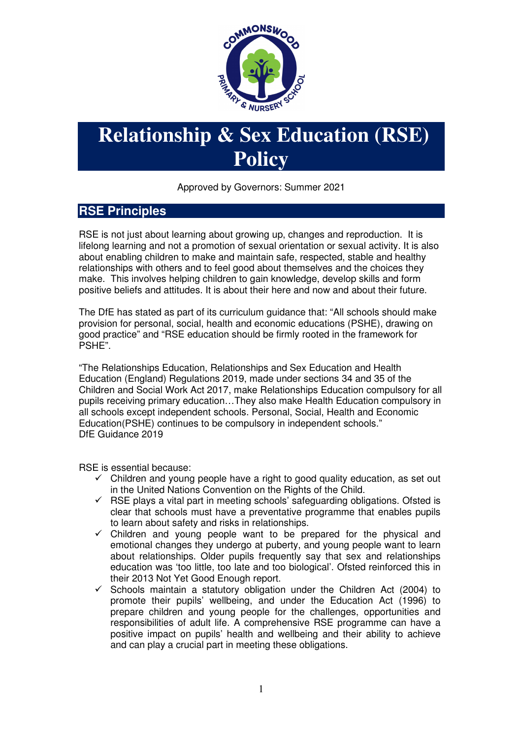

# **Relationship & Sex Education (RSE) Policy**

Approved by Governors: Summer 2021

# **RSE Principles**

RSE is not just about learning about growing up, changes and reproduction. It is lifelong learning and not a promotion of sexual orientation or sexual activity. It is also about enabling children to make and maintain safe, respected, stable and healthy relationships with others and to feel good about themselves and the choices they make. This involves helping children to gain knowledge, develop skills and form positive beliefs and attitudes. It is about their here and now and about their future.

The DfE has stated as part of its curriculum guidance that: "All schools should make provision for personal, social, health and economic educations (PSHE), drawing on good practice" and "RSE education should be firmly rooted in the framework for PSHE".

"The Relationships Education, Relationships and Sex Education and Health Education (England) Regulations 2019, made under sections 34 and 35 of the Children and Social Work Act 2017, make Relationships Education compulsory for all pupils receiving primary education…They also make Health Education compulsory in all schools except independent schools. Personal, Social, Health and Economic Education(PSHE) continues to be compulsory in independent schools." DfE Guidance 2019

RSE is essential because:

- $\checkmark$  Children and young people have a right to good quality education, as set out in the United Nations Convention on the Rights of the Child.
- $\checkmark$  RSE plays a vital part in meeting schools' safeguarding obligations. Ofsted is clear that schools must have a preventative programme that enables pupils to learn about safety and risks in relationships.
- $\checkmark$  Children and young people want to be prepared for the physical and emotional changes they undergo at puberty, and young people want to learn about relationships. Older pupils frequently say that sex and relationships education was 'too little, too late and too biological'. Ofsted reinforced this in their 2013 Not Yet Good Enough report.
- $\checkmark$  Schools maintain a statutory obligation under the Children Act (2004) to promote their pupils' wellbeing, and under the Education Act (1996) to prepare children and young people for the challenges, opportunities and responsibilities of adult life. A comprehensive RSE programme can have a positive impact on pupils' health and wellbeing and their ability to achieve and can play a crucial part in meeting these obligations.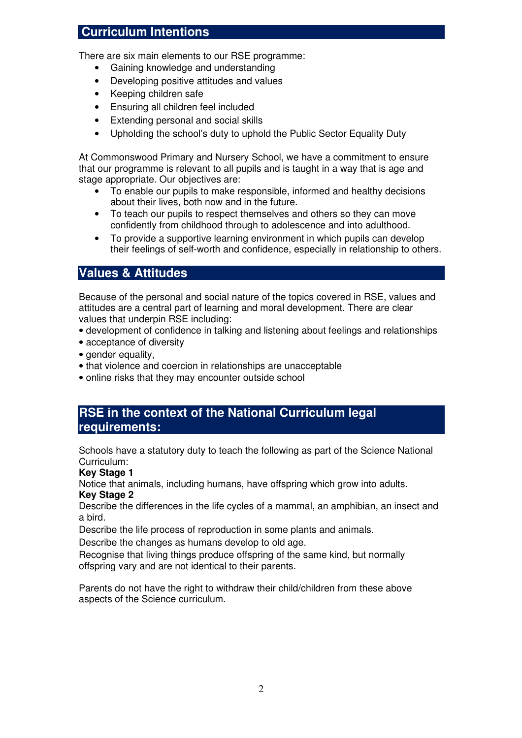## **Curriculum Intentions**

There are six main elements to our RSE programme:

- Gaining knowledge and understanding
- Developing positive attitudes and values
- Keeping children safe
- Ensuring all children feel included
- Extending personal and social skills
- Upholding the school's duty to uphold the Public Sector Equality Duty

At Commonswood Primary and Nursery School, we have a commitment to ensure that our programme is relevant to all pupils and is taught in a way that is age and stage appropriate. Our objectives are:

- To enable our pupils to make responsible, informed and healthy decisions about their lives, both now and in the future.
- To teach our pupils to respect themselves and others so they can move confidently from childhood through to adolescence and into adulthood.
- To provide a supportive learning environment in which pupils can develop their feelings of self-worth and confidence, especially in relationship to others.

# **Values & Attitudes**

Because of the personal and social nature of the topics covered in RSE, values and attitudes are a central part of learning and moral development. There are clear values that underpin RSE including:

- development of confidence in talking and listening about feelings and relationships
- acceptance of diversity
- gender equality,
- that violence and coercion in relationships are unacceptable
- online risks that they may encounter outside school

## **RSE in the context of the National Curriculum legal requirements:**

Schools have a statutory duty to teach the following as part of the Science National Curriculum:

#### **Key Stage 1**

Notice that animals, including humans, have offspring which grow into adults. **Key Stage 2** 

Describe the differences in the life cycles of a mammal, an amphibian, an insect and a bird.

Describe the life process of reproduction in some plants and animals.

Describe the changes as humans develop to old age.

Recognise that living things produce offspring of the same kind, but normally offspring vary and are not identical to their parents.

Parents do not have the right to withdraw their child/children from these above aspects of the Science curriculum.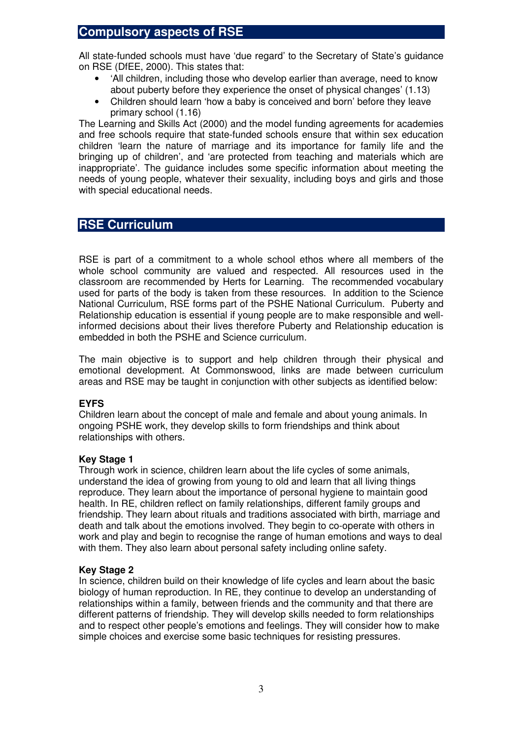## **Compulsory aspects of RSE**

All state-funded schools must have 'due regard' to the Secretary of State's guidance on RSE (DfEE, 2000). This states that:

- 'All children, including those who develop earlier than average, need to know about puberty before they experience the onset of physical changes' (1.13)
- Children should learn 'how a baby is conceived and born' before they leave primary school (1.16)

The Learning and Skills Act (2000) and the model funding agreements for academies and free schools require that state-funded schools ensure that within sex education children 'learn the nature of marriage and its importance for family life and the bringing up of children', and 'are protected from teaching and materials which are inappropriate'. The guidance includes some specific information about meeting the needs of young people, whatever their sexuality, including boys and girls and those with special educational needs.

# **RSE Curriculum**

RSE is part of a commitment to a whole school ethos where all members of the whole school community are valued and respected. All resources used in the classroom are recommended by Herts for Learning. The recommended vocabulary used for parts of the body is taken from these resources. In addition to the Science National Curriculum, RSE forms part of the PSHE National Curriculum. Puberty and Relationship education is essential if young people are to make responsible and wellinformed decisions about their lives therefore Puberty and Relationship education is embedded in both the PSHE and Science curriculum.

The main objective is to support and help children through their physical and emotional development. At Commonswood, links are made between curriculum areas and RSE may be taught in conjunction with other subjects as identified below:

#### **EYFS**

Children learn about the concept of male and female and about young animals. In ongoing PSHE work, they develop skills to form friendships and think about relationships with others.

#### **Key Stage 1**

Through work in science, children learn about the life cycles of some animals, understand the idea of growing from young to old and learn that all living things reproduce. They learn about the importance of personal hygiene to maintain good health. In RE, children reflect on family relationships, different family groups and friendship. They learn about rituals and traditions associated with birth, marriage and death and talk about the emotions involved. They begin to co-operate with others in work and play and begin to recognise the range of human emotions and ways to deal with them. They also learn about personal safety including online safety.

#### **Key Stage 2**

In science, children build on their knowledge of life cycles and learn about the basic biology of human reproduction. In RE, they continue to develop an understanding of relationships within a family, between friends and the community and that there are different patterns of friendship. They will develop skills needed to form relationships and to respect other people's emotions and feelings. They will consider how to make simple choices and exercise some basic techniques for resisting pressures.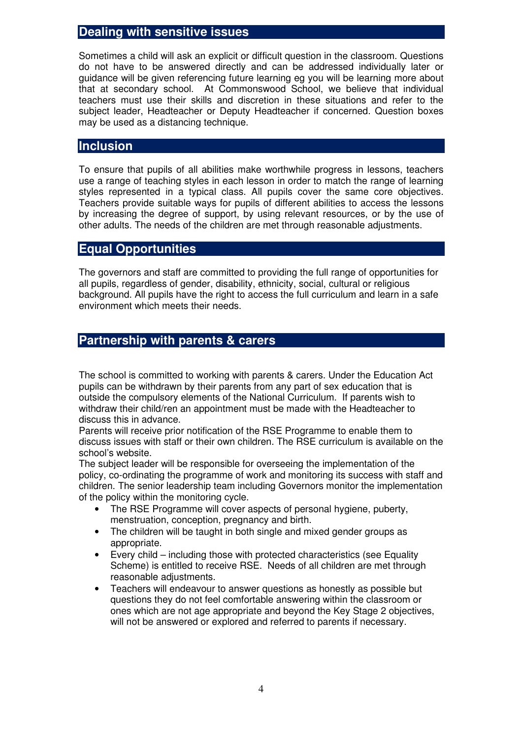## **Dealing with sensitive issues**

Sometimes a child will ask an explicit or difficult question in the classroom. Questions do not have to be answered directly and can be addressed individually later or guidance will be given referencing future learning eg you will be learning more about that at secondary school. At Commonswood School, we believe that individual teachers must use their skills and discretion in these situations and refer to the subject leader, Headteacher or Deputy Headteacher if concerned. Question boxes may be used as a distancing technique.

### **Inclusion**

To ensure that pupils of all abilities make worthwhile progress in lessons, teachers use a range of teaching styles in each lesson in order to match the range of learning styles represented in a typical class. All pupils cover the same core objectives. Teachers provide suitable ways for pupils of different abilities to access the lessons by increasing the degree of support, by using relevant resources, or by the use of other adults. The needs of the children are met through reasonable adjustments.

## **Equal Opportunities**

The governors and staff are committed to providing the full range of opportunities for all pupils, regardless of gender, disability, ethnicity, social, cultural or religious background. All pupils have the right to access the full curriculum and learn in a safe environment which meets their needs.

## **Partnership with parents & carers**

The school is committed to working with parents & carers. Under the Education Act pupils can be withdrawn by their parents from any part of sex education that is outside the compulsory elements of the National Curriculum. If parents wish to withdraw their child/ren an appointment must be made with the Headteacher to discuss this in advance.

Parents will receive prior notification of the RSE Programme to enable them to discuss issues with staff or their own children. The RSE curriculum is available on the school's website.

The subject leader will be responsible for overseeing the implementation of the policy, co-ordinating the programme of work and monitoring its success with staff and children. The senior leadership team including Governors monitor the implementation of the policy within the monitoring cycle.

- The RSE Programme will cover aspects of personal hygiene, puberty, menstruation, conception, pregnancy and birth.
- The children will be taught in both single and mixed gender groups as appropriate.
- Every child including those with protected characteristics (see Equality Scheme) is entitled to receive RSE. Needs of all children are met through reasonable adjustments.
- Teachers will endeavour to answer questions as honestly as possible but questions they do not feel comfortable answering within the classroom or ones which are not age appropriate and beyond the Key Stage 2 objectives, will not be answered or explored and referred to parents if necessary.